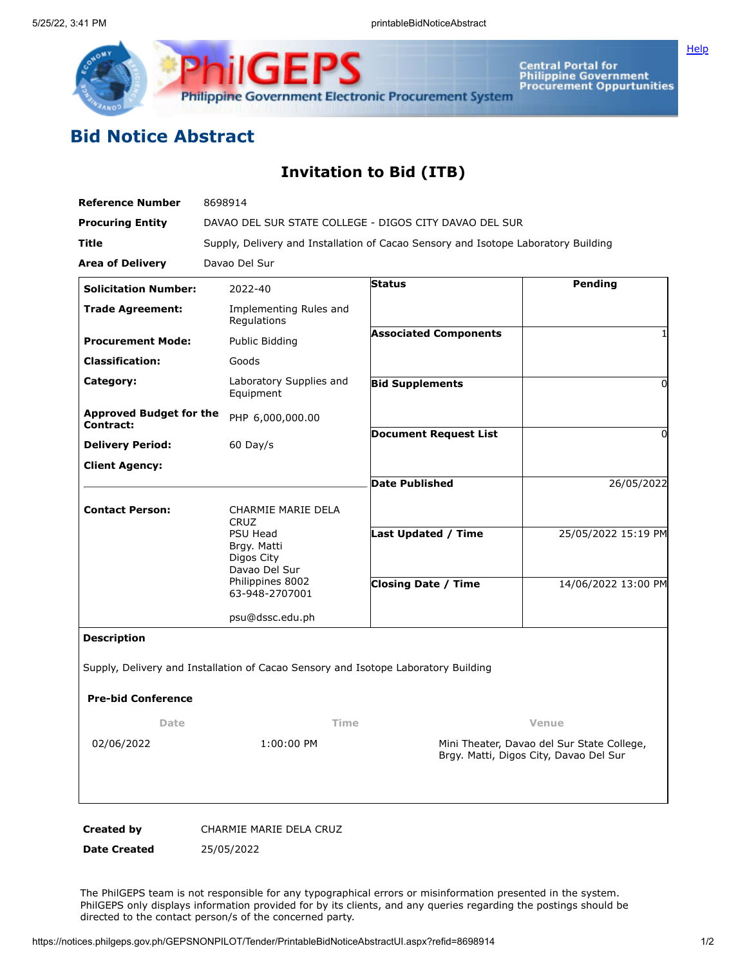

Central Portal for<br>Philippine Government<br>Procurement Oppurtunities

**[Help](javascript:void(window.open()** 

## **Bid Notice Abstract**

## **Invitation to Bid (ITB)**

| <b>Reference Number</b>                     | 8698914                                                                            |                                                                                      |                     |
|---------------------------------------------|------------------------------------------------------------------------------------|--------------------------------------------------------------------------------------|---------------------|
| <b>Procuring Entity</b>                     | DAVAO DEL SUR STATE COLLEGE - DIGOS CITY DAVAO DEL SUR                             |                                                                                      |                     |
| Title                                       | Supply, Delivery and Installation of Cacao Sensory and Isotope Laboratory Building |                                                                                      |                     |
| <b>Area of Delivery</b>                     | Davao Del Sur                                                                      |                                                                                      |                     |
| <b>Solicitation Number:</b>                 | 2022-40                                                                            | <b>Status</b>                                                                        | Pending             |
| <b>Trade Agreement:</b>                     | Implementing Rules and<br>Regulations                                              |                                                                                      |                     |
| <b>Procurement Mode:</b>                    | Public Bidding                                                                     | <b>Associated Components</b>                                                         |                     |
| <b>Classification:</b>                      | Goods                                                                              |                                                                                      |                     |
| Category:                                   | Laboratory Supplies and<br>Equipment                                               | <b>Bid Supplements</b>                                                               | $\Omega$            |
| <b>Approved Budget for the</b><br>Contract: | PHP 6,000,000.00                                                                   |                                                                                      |                     |
| <b>Delivery Period:</b>                     | $60$ Day/s                                                                         | <b>Document Request List</b>                                                         | <sup>n</sup>        |
| <b>Client Agency:</b>                       |                                                                                    |                                                                                      |                     |
|                                             |                                                                                    | <b>Date Published</b>                                                                | 26/05/2022          |
| <b>Contact Person:</b>                      | CHARMIE MARIE DELA<br><b>CRUZ</b>                                                  |                                                                                      |                     |
|                                             | PSU Head<br>Brgy. Matti<br>Digos City<br>Davao Del Sur                             | Last Updated / Time                                                                  | 25/05/2022 15:19 PM |
|                                             | Philippines 8002<br>63-948-2707001                                                 | <b>Closing Date / Time</b>                                                           | 14/06/2022 13:00 PM |
|                                             | psu@dssc.edu.ph                                                                    |                                                                                      |                     |
| <b>Description</b>                          |                                                                                    |                                                                                      |                     |
|                                             | Supply, Delivery and Installation of Cacao Sensory and Isotope Laboratory Building |                                                                                      |                     |
| <b>Pre-bid Conference</b>                   |                                                                                    |                                                                                      |                     |
| Date                                        | Time<br>Venue                                                                      |                                                                                      |                     |
| 02/06/2022                                  | 1:00:00 PM                                                                         | Mini Theater, Davao del Sur State College,<br>Brgy. Matti, Digos City, Davao Del Sur |                     |
| <b>Created by</b>                           | CHARMIE MARIE DELA CRUZ                                                            |                                                                                      |                     |

**Date Created** 25/05/2022

The PhilGEPS team is not responsible for any typographical errors or misinformation presented in the system. PhilGEPS only displays information provided for by its clients, and any queries regarding the postings should be directed to the contact person/s of the concerned party.